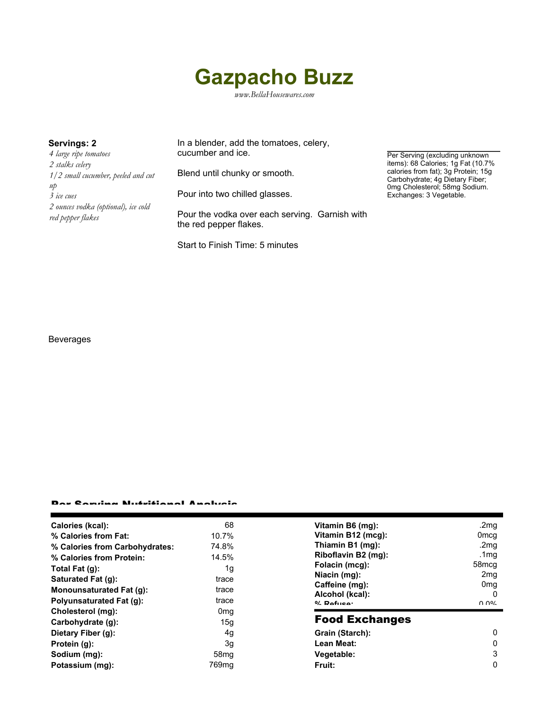# **Gazpacho Buzz**

*www.BellaHousewares.com*

*4 large ripe tomatoes 2 stalks celery 1/2 small cucumber, peeled and cut up 3 ice cues 2 ounces vodka (optional), ice cold red pepper flakes*

**Servings: 2** In a blender, add the tomatoes, celery, cucumber and ice.

Blend until chunky or smooth.

Pour into two chilled glasses.

Pour the vodka over each serving. Garnish with the red pepper flakes.

Start to Finish Time: 5 minutes

Per Serving (excluding unknown items): 68 Calories; 1g Fat (10.7% calories from fat); 3g Protein; 15g Carbohydrate; 4g Dietary Fiber; 0mg Cholesterol; 58mg Sodium. Exchanges: 3 Vegetable.

#### Beverages

#### Per Serving Nutritional Analysis

| Calories (kcal):                | 68                | Vitamin B6 (mg):                                                    | .2mg                 |
|---------------------------------|-------------------|---------------------------------------------------------------------|----------------------|
| % Calories from Fat:            | 10.7%             | Vitamin B12 (mcg):                                                  | 0 <sub>mcg</sub>     |
| % Calories from Carbohydrates:  | 74.8%             | Thiamin B1 (mg):                                                    | .2mg                 |
| % Calories from Protein:        | 14.5%             | Riboflavin B2 (mg):                                                 | .1mg                 |
| Total Fat (g):                  | 1g                | Folacin (mcg):                                                      | 58 <sub>mcg</sub>    |
| Saturated Fat (q):              | trace             | Niacin (mg):<br>Caffeine (mg):<br>Alcohol (kcal):<br>$0/2$ Pofileo: | 2 <sub>mg</sub>      |
| Monounsaturated Fat (g):        | trace             |                                                                     | 0 <sub>mg</sub><br>0 |
| <b>Polyunsaturated Fat (g):</b> | trace             |                                                                     | በ በ%                 |
| Cholesterol (mg):               | 0 <sub>mg</sub>   |                                                                     |                      |
| Carbohydrate (g):               | 15g               | <b>Food Exchanges</b>                                               |                      |
| Dietary Fiber (g):              | 4g                | Grain (Starch):                                                     | 0                    |
| Protein (g):                    | 3g                | Lean Meat:                                                          | 0                    |
| Sodium (mg):                    | 58 <sub>mq</sub>  | Vegetable:                                                          | 3                    |
| Potassium (mg):                 | 769 <sub>mq</sub> | Fruit:                                                              | 0                    |
|                                 |                   |                                                                     |                      |